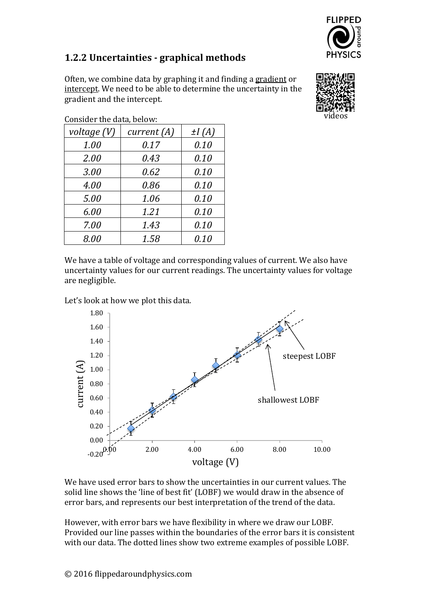

## **1.2.2 Uncertainties - graphical methods**

Often, we combine data by graphing it and finding a gradient or intercept. We need to be able to determine the uncertainty in the gradient and the intercept.



| CONSIGUE USE GALA, DUIOW. |            |
|---------------------------|------------|
| current $(A)$             | $\pm I(A)$ |
| 0.17                      | 0.10       |
| 0.43                      | 0.10       |
| 0.62                      | 0.10       |
| 0.86                      | 0.10       |
| 1.06                      | 0.10       |
| 1.21                      | 0.10       |
| 1.43                      | 0.10       |
| 1.58                      | 0.10       |
|                           |            |

Consider the data, below:

We have a table of voltage and corresponding values of current. We also have uncertainty values for our current readings. The uncertainty values for voltage are negligible.

Let's look at how we plot this data.



We have used error bars to show the uncertainties in our current values. The solid line shows the 'line of best fit' (LOBF) we would draw in the absence of error bars, and represents our best interpretation of the trend of the data.

However, with error bars we have flexibility in where we draw our LOBF. Provided our line passes within the boundaries of the error bars it is consistent with our data. The dotted lines show two extreme examples of possible LOBF.